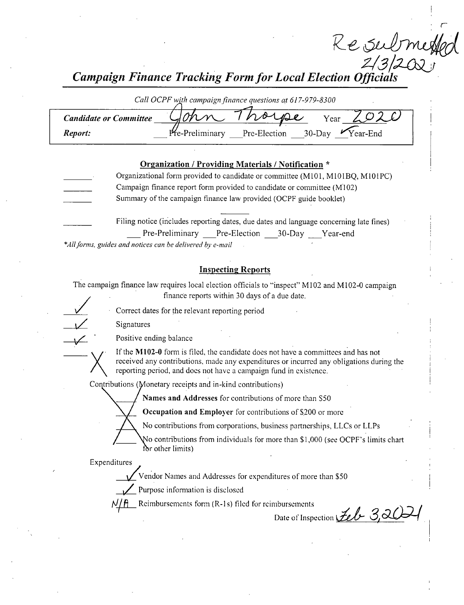Re Submetta<br>Z/3/2021<br>Campaign Finance Tracking Form for Local Election Officials

| Call OCPF with campaign finance questions at 617-979-8300 |                                                            |  |  |
|-----------------------------------------------------------|------------------------------------------------------------|--|--|
| <b>Candidate or Committee</b>                             | norse<br>Year                                              |  |  |
| Report:                                                   | Pre-Preliminary<br>$Vear$ -End<br>Pre-Election<br>$30-Dav$ |  |  |

## Organization / Providing Materials/ Notification \*

- Organizational form provided to candidate or committee (M101, M101BQ, M101PC) Campaign finance report form provided to candidate or committee ( M102) Summary of the campaign finance law provided( OCPF guide booklet)
	- Filing notice ( includes reporting dates, due dates and language concerning late fines) Pre-Preliminary Pre-Election 30-Day Year-end

\*All forms, guides and notices can be delivered by e-mail

## Inspecting Reports

The campaign finance law requires local election officials to "inspect" M102 and M102-0 campaign finance reports within 30 days of <sup>a</sup> due date.

Correct dates for the relevant reporting period

Signatures

Positive ending balance

If the M102-0 form is filed, the candidate does not have a committees and has not received any contributions, made any expenditures or incurred any obligations during the reporting period, and does not have a campaign fund in existence.

Contributions (Monetary receipts and in-kind contributions)

Names and Addresses for contributions of more than S50

Occupation and Employer for contributions of \$200 or more

No contributions from corporations, business partnerships, LLCs or LLPs

No contributions from individuals for more than \$1,000 (see OCPF's limits chart for other limits)

Expenditures

Vendor Names and Addresses for expenditures of more than\$ 50

Purpose information is disclosed

 $\sum$  Reimbursements form (R-1s) filed for reimbursements

Date of Inspection  $\mathcal{L}\ell b$  3,2 $\mathcal{L}$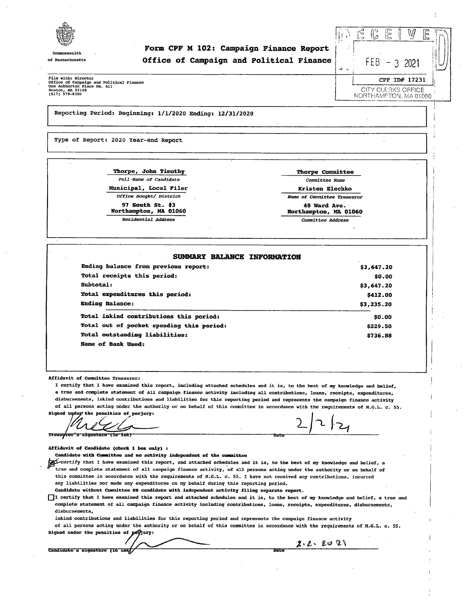

Commonwealth

Form CPF M 102: Campaign Finance Report of Massachusetts **Campaign and Political Finance** FEB

II 3 2021 CPF ID# 17231

CITY CLE 3KS OFFICE

File with: Director Office of Campaign and Political Finance One Ashburton Place Rm. 41:<br>Boston, MA 02108

Reporting Period: Beginning: 1/ 1/ 2020 Ending: 12/ 31/ 2020

Type of Report: 2020 Year-end Report

Thorpe, John Timothy Thorpe Committee Full-Name of Candidate Committee Name Municipal, Local Filer **Kristen Elechko** Kristen Elechko Northampton, MA 01060 Northampton, MA 01060

Residential Address Committee Address

Office Sought/ District Name of Committee Treasurer 97 South St. #3 5 48 Ward Ave.<br>
1990 - 1990 - 1990 - 1991 - 1991 - 1992 - 1993 - 1994 - 1994 - 1994 - 1992 - 1994 - 1994 - 1994 - 1994 - 199

#### SUMMARY BALANCE INFORMATION

Ending balance from previous report: 3,647.20 Total receipts this period: 0. 000 nm = 0.000 nm = 0.000 nm = 0.000 nm = 0.000 nm = 0.000 nm = 0.000 nm = 0.000 nm = 0.000 nm = 0.000 nm = 0.000 nm = 0.000 nm = 0.000 nm = 0.000 nm = 0.000 nm = 0.000 nm = 0.000 nm = 0.000  $Subtotal:$   $$3, 647.20$ Total expenditures this period:  $$412.00$ Ending Balance: 3, 235. 20 Shannels and the state of the state of the state of the state of the state of the state of the state of the state of the state of the state of the state of the state of the state of the state of Total inkind contributions this period: 0.00  $\qquad$  50.00 Total out of pocket spending this period: 229.50 and 229.50 Total outstanding liabilities: The contract of the contract of the contract of the contract of the contract of the contract of the contract of the contract of the contract of the contract of the contract of the contract of

Affidavit of Committee Treasurer:

I certify that I have examined this report, including attached schedules and it is, to the best of my knowledge and belief, <sup>a</sup> true and complete statement of all campaign finance activity including all contributions, loans, receipts, expenditures, disbursements, inkind contributions and liabilities for this reporting period and represents the campaign finance activity of all persons acting under the authority or on behalf of this committee in accordance with the requirements of M. G. L. c. 55.

Signed under the penalties of perjury:

Name of Bank Used:

Treaswrer's signature (in ink)

Affidavit of Candidate ( check <sup>1</sup> box only) :

Candidate with Committee and no activity independent of the committee

the certify that I have examined this report, and attached schedules and it is, to the best of my knowledge and belief, a<br>true and complete statement of all campaign finance activity, of all persons acting under the author this committee in accordance with the requirements of M.G.L. c. 55. I have not received any contributions, incurred any liabilities nor made any expenditures on my behalf during this reporting period. candidate without Committee OR candidate with independent activity filing separate report.

I certify that I have examined this report and attached schedules and it is, to the best of my knowledge and belief, a true and complete statement of all campaign finance activity including contributions, loans, receipts, expenditures, disbursements,

disbursements,

inkind contributions and liabilities for this reporting period and represents the campaign finance activity

of all persons acting under the authority or on behalf of this committee in accordance with the requirements of M. G. L. c. 55. Signed under the penalties of perjury:

Candidate s signature (in ink) - Candidate s signature (in ink) - Candidate s signature

 $2.2.2021$ 

NORTHAMFTON, MA.01060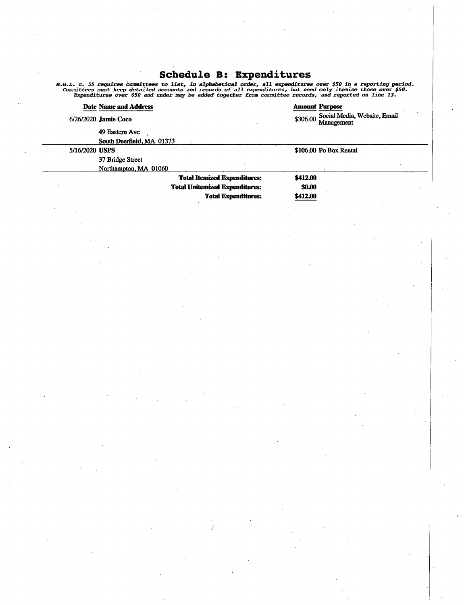# Schedule B: Expenditure

*M.G.L. c.* 55 requires committees to list, in alphabetical order, all expenditures over \$50 in a reporting period<br>Committees must keep detailed accounts and records of all expenditures, but need only itemize those over \$5

|                | <b>Date Name and Address</b> |                                       |               | <b>Amount Purpose</b>                      |  |
|----------------|------------------------------|---------------------------------------|---------------|--------------------------------------------|--|
|                | 6/26/2020 Jamie Coco         |                                       | \$306.00      | Social Media, Website, Email<br>Management |  |
|                | 49 Eastern Ave               |                                       |               |                                            |  |
|                | South Deerfield, MA 01373    |                                       |               |                                            |  |
| 5/16/2020 USPS |                              |                                       |               | \$106.00 Po Box Rental                     |  |
|                | 37 Bridge Street             |                                       |               |                                            |  |
|                | Northampton, MA 01060        |                                       |               |                                            |  |
|                |                              | <b>Total Itemized Expenditures:</b>   | \$412.00      |                                            |  |
|                |                              | <b>Total Unitemized Expenditures:</b> | <b>\$0.00</b> |                                            |  |
|                |                              | <b>Total Expenditures:</b>            | \$412.00      |                                            |  |
|                |                              |                                       |               |                                            |  |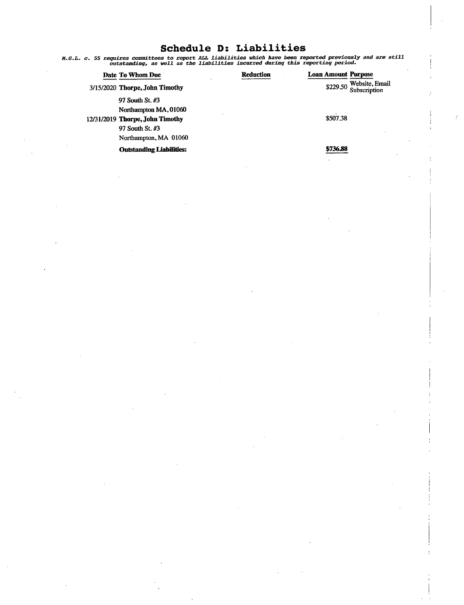## Schedule D: Liabilities

H. G. L. c. 55 requires committees to report ALL liabilities which have been reported previously and are still outstanding, as well as the liabilities incurred during this reporting period.

| Date To Whom Due                | <b>Reduction</b> | <b>Loan Amount Purpose</b>              |
|---------------------------------|------------------|-----------------------------------------|
| 3/15/2020 Thorpe, John Timothy  |                  | \$229.50 Website, Email<br>Subscription |
| 97 South St. #3                 |                  |                                         |
| Northampton MA, 01060           |                  |                                         |
| 12/31/2019 Thorpe, John Timothy |                  | \$507.38                                |
| 97 South St. #3                 |                  |                                         |
| Northampton, MA 01060           |                  |                                         |
| <b>Outstanding Liabilities:</b> |                  | \$736.88                                |